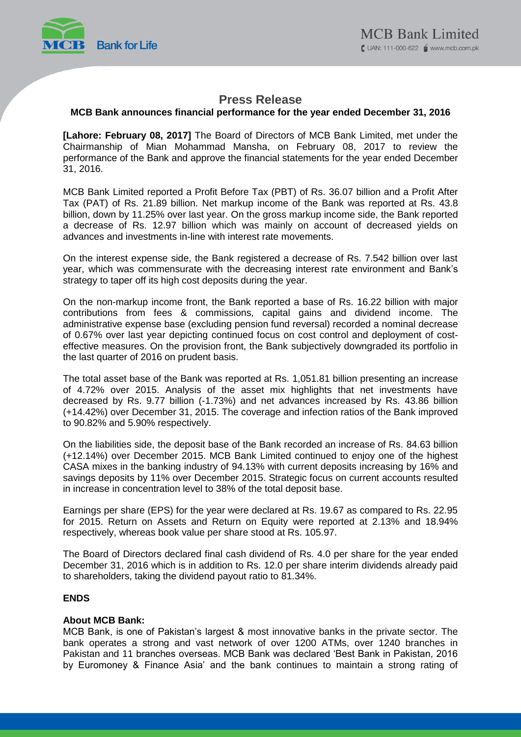

## **Press Release**

## **MCB Bank announces financial performance for the year ended December 31, 2016**

**[Lahore: February 08, 2017]** The Board of Directors of MCB Bank Limited, met under the Chairmanship of Mian Mohammad Mansha, on February 08, 2017 to review the performance of the Bank and approve the financial statements for the year ended December 31, 2016.

MCB Bank Limited reported a Profit Before Tax (PBT) of Rs. 36.07 billion and a Profit After Tax (PAT) of Rs. 21.89 billion. Net markup income of the Bank was reported at Rs. 43.8 billion, down by 11.25% over last year. On the gross markup income side, the Bank reported a decrease of Rs. 12.97 billion which was mainly on account of decreased yields on advances and investments in-line with interest rate movements.

On the interest expense side, the Bank registered a decrease of Rs. 7.542 billion over last year, which was commensurate with the decreasing interest rate environment and Bank's strategy to taper off its high cost deposits during the year.

On the non-markup income front, the Bank reported a base of Rs. 16.22 billion with major contributions from fees & commissions, capital gains and dividend income. The administrative expense base (excluding pension fund reversal) recorded a nominal decrease of 0.67% over last year depicting continued focus on cost control and deployment of costeffective measures. On the provision front, the Bank subjectively downgraded its portfolio in the last quarter of 2016 on prudent basis.

The total asset base of the Bank was reported at Rs. 1,051.81 billion presenting an increase of 4.72% over 2015. Analysis of the asset mix highlights that net investments have decreased by Rs. 9.77 billion (-1.73%) and net advances increased by Rs. 43.86 billion (+14.42%) over December 31, 2015. The coverage and infection ratios of the Bank improved to 90.82% and 5.90% respectively.

On the liabilities side, the deposit base of the Bank recorded an increase of Rs. 84.63 billion (+12.14%) over December 2015. MCB Bank Limited continued to enjoy one of the highest CASA mixes in the banking industry of 94.13% with current deposits increasing by 16% and savings deposits by 11% over December 2015. Strategic focus on current accounts resulted in increase in concentration level to 38% of the total deposit base.

Earnings per share (EPS) for the year were declared at Rs. 19.67 as compared to Rs. 22.95 for 2015. Return on Assets and Return on Equity were reported at 2.13% and 18.94% respectively, whereas book value per share stood at Rs. 105.97.

The Board of Directors declared final cash dividend of Rs. 4.0 per share for the year ended December 31, 2016 which is in addition to Rs. 12.0 per share interim dividends already paid to shareholders, taking the dividend payout ratio to 81.34%.

## **ENDS**

### **About MCB Bank:**

MCB Bank, is one of Pakistan's largest & most innovative banks in the private sector. The bank operates a strong and vast network of over 1200 ATMs, over 1240 branches in Pakistan and 11 branches overseas. MCB Bank was declared 'Best Bank in Pakistan, 2016 by Euromoney & Finance Asia' and the bank continues to maintain a strong rating of